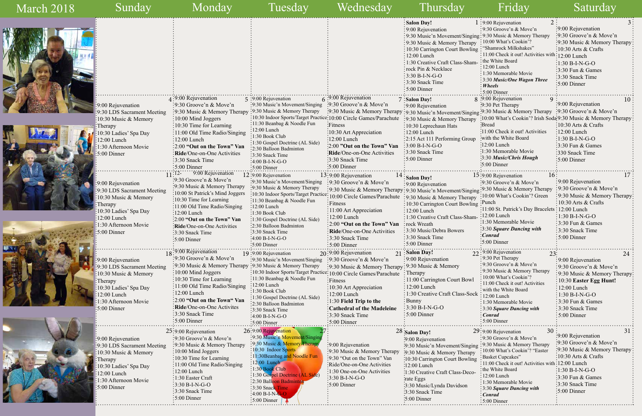9:00 Rejuvenation 9:30 LDS Sacrament Meeting 10:30 Music & Memory Therapy 10:30 Ladies' Spa Day 12:00 Lunch 1:30 Afternoon Movie 5:00 Dinner 9:30 Groove'n & Move'n 9:30 Music & Memory Therapy 10:00 Mind Joggers 10:30 Time for Learning 11:00 Old Time Radio/Singing 12:00 Lunch 1:30 Easter Craft  $:3:30 B-I-N-G-O$ 3:30 Snack Time 9:30 Music'n Movem 9:30 Music & Memory Therapy : 10:30 Indoor Sports 11:30Beanbag and Noodle Fun :12:00 Lunch 1:30 Book Club : 1:30 Gospel Doctrine (AL Side) 2:30 Balloon Badminton 3:30 Snack Time  $:4:00 B-I-N-$ 

:5:00 Dinner

| March 2018 | Sunday                                                                                                                                              | Monday                                                                                                                                                                                                                                                                     | Tuesday                                                                                                                                                                                                                                                                                       | Wednesday                                                                                                                                                                                                                                  | Thursday                                                                                                                                                                                                                                                                                                                                                     | Friday                                                                                                                                                                                                                                                                               | Saturday                                                                                                                                                                                                                                                     |
|------------|-----------------------------------------------------------------------------------------------------------------------------------------------------|----------------------------------------------------------------------------------------------------------------------------------------------------------------------------------------------------------------------------------------------------------------------------|-----------------------------------------------------------------------------------------------------------------------------------------------------------------------------------------------------------------------------------------------------------------------------------------------|--------------------------------------------------------------------------------------------------------------------------------------------------------------------------------------------------------------------------------------------|--------------------------------------------------------------------------------------------------------------------------------------------------------------------------------------------------------------------------------------------------------------------------------------------------------------------------------------------------------------|--------------------------------------------------------------------------------------------------------------------------------------------------------------------------------------------------------------------------------------------------------------------------------------|--------------------------------------------------------------------------------------------------------------------------------------------------------------------------------------------------------------------------------------------------------------|
|            |                                                                                                                                                     |                                                                                                                                                                                                                                                                            |                                                                                                                                                                                                                                                                                               |                                                                                                                                                                                                                                            | : Salon Day!<br>$\frac{1}{2}9:00$ Rejuvenation<br>: 9:30 Music'n Movement/Singing: 9:30 Music & Memory Therapy<br>: 9:30 Music & Memory Therapy : 10:00 What's Cookin'?<br>: 10:30 Carrington Court Bowling: "Shamrock Milkshakes"<br>$:12:00$ Lunch<br>: 1:30 Creative Craft Class-Sham-<br>: rock Pin & Necklace<br>$:3:30 B-I-N-G-O$<br>: 3:30 Snack Time | $1:9:00$ Rejuvenation<br>: 9:30 Groove'n $&$ Move'n<br>: 11:00 Check it out! Activities with : 12:00 Lunch<br>the White Board<br>$: 12:00$ Lunch<br>: 1:30 Memorable Movie<br>: 3:30 Music/One Wagon Three<br>$\frac{1}{2}$ Wheels                                                   | :9:00 Rejuvenation<br>$\frac{1}{2}$ :30 Groove'n & Move'n<br>:9:30 Music & Memory Therapy<br>$\frac{10:30 \text{ Arts}}{8}$ Crafts<br>$\frac{1}{2}1:30 B-I-N-G-O$<br>$\frac{1}{2}$ :30 Fun & Games<br>:3:30 Snack Time<br>$\frac{1}{2}$ 5:00 Dinner          |
|            | :9:00 Rejuvenation<br>9:30 LDS Sacrament Meeting<br>10:30 Music & Memory<br>Therapy<br>10:30 Ladies' Spa Day<br>12:00 Lunch<br>1:30 Afternoon Movie | $\cdot$ 9:00 Rejuvenation<br>:9:30 Groove'n & Move'n<br>$\frac{1}{2}$ 9:30 Music & Memory Therapy<br>$\frac{1}{2}10:00$ Mind Joggers<br>$\frac{1}{2}10:30$ Time for Learning<br>$\frac{1}{2}11:00$ Old Time Radio/Singing<br>$:12:00$ Lunch<br>:2:00 "Out on the Town" Van | 5 :9:00 Rejuvenation<br>:9:30 Music'n Movement/Singing<br>:9:30 Music & Memory Therapy<br>:10:30 Indoor Sports/Target Practice:10:00 Circle Games/Parachute<br>:11:30 Beanbag & Noodle Fun<br>:12:00 Lunch<br>$:1:30$ Book Club<br>:1:30 Gospel Doctrine (AL Side)<br>:2:30 Balloon Badminton | $6:9:00$ Rejuvenation<br>$\frac{1}{2}$ 9:30 Groove'n & Move'n<br>:Fitness<br>:10:30 Art Appreciation<br>:12:00 Lunch<br>:2:00 "Out on the Town" Van                                                                                        | $\frac{1}{2}$ 5:00 Dinner<br>7: Salon Day!<br>:9:00 Rejuvenation<br>:9:30 Music & Memory Therapy :9:30 Music'n Movement/Singing :9:30 Music & Memory Therapy :9:30 Groove'n & Move'n<br>:9:30 Music & Memory Therapy<br>$: 10:30$ Leprechaun Hats<br>$: 12:00$ Lunch<br>:2:15 Act 111 Performing Group<br>$\frac{1}{2}3:00 B-I-N-G-O$                        | 5:00 Dinner<br>8 :9:00 Rejuvenation<br>:9:30 Pet Therapy<br>Bread<br>11:00 Check it out! Activities<br>with the White Board<br>:12:00 Lunch                                                                                                                                          | 10<br>$\frac{1}{2}9:00$ Rejuvenation<br>:10:00 What's Cookin'? Irish Soda 9:30 Music & Memory Therapy<br>$\frac{10:30 \text{ Arts}}{8}$ Crafts<br>$\frac{1}{2}12:00$ Lunch<br>$\frac{1}{2}1:30 B-I-N-G-O$<br>$\frac{1}{2}$ :30 Fun & Games                   |
|            | $\frac{.5:00 \text{ Dinner}}{.}$<br>9:00 Rejuvenation<br>9:30 LDS Sacrament Meeting<br>10:30 Music & Memory<br>Therapy                              | Ride/One-on-One Activities<br>$\frac{1}{2}$ :30 Snack Time<br>$:5:00$ Dinner<br>9:00 Rejuvenation<br>:9:30 Groove'n & Move'n<br>:9:30 Music & Memory Therapy<br>:10:00 St Patrick's Mind Joggers<br>:10:30 Time for Learning<br>:11:00 Old Time Radio/Singing              | :3:30 Snack Time<br>$\frac{1}{2}4:00 B-I-N-G-O$<br>$\div 5:00$ Dinner<br>$12:9:00$ Rejuvenation<br>:9:30 Music'n Movement/Singing<br>:9:30 Music & Memory Therapy<br>:11:30 Beanbag & Noodle Fun<br>$\frac{12:00 \text{ Lunch}}{2}$                                                           | Ride/One-on-One Activities<br>3:30 Snack Time<br>$:5:00$ Dinner<br>13:9:00 Rejuvenation<br>:9:30 Groove'n & Move'n<br>:10:30 Indoor Sports/Target Practice: 10:00 Circle Games/Parachute<br>:Fitness                                       | :3:30 Snack Time<br>$:5:00$ Dinner<br>$\frac{14}{15}$ Salon Day!<br>: 9:00 Rejuvenation<br>:9:30 Music & Memory Therapy: 9:30 Music'n Movement/Singing<br>:9:30 Music & Memory Therapy<br>10:30 Carrington Court Bowling : Punch                                                                                                                             | :1:30 Memorable Movie<br>:3:30 Music/Chris Hough<br>$:5:00$ Dinner<br>$15:9:00$ Rejuvenation<br>16<br>$\cdot$ 9:30 Groove'n & Move'n<br>.9:30 Music & Memory Therapy<br>:10:00 What's Cookin'? Green<br>:11:00 St. Patrick's Day Bracelets : 12:00 Lunch                             | :330 Snack Time<br>$\frac{1}{2}$ :00 Dinner<br>$\div 9:00$ Rejuvenation<br>$: 9:30$ Groove'n & Move'n<br>:9:30 Music & Memory Therapy<br>$\frac{10:30 \text{ Arts}}{8 \text{ Crafts}}$                                                                       |
|            | 10:30 Ladies' Spa Day<br>12:00 Lunch<br>1:30 Afternoon Movie<br>$5:00$ Dinner<br>$: 9:00$ Rejuvenation                                              | $:12:00$ Lunch<br>$\frac{1}{2}$ :00 "Out on the Town" Van<br>Ride/One-on-One Activities<br>:3:30 Snack Time<br>$\frac{1}{2}$ 5:00 Dinner<br>18:9:00 Rejuvenation<br>:9:30 Groove'n & Move'n                                                                                | :1:30 Book Club<br>:1:30 Gospel Doctrine (AL Side)<br>:2:30 Balloon Badminton<br>3:30 Snack Time<br>$:4:00 B-I-N-G-O$<br>$:5:00$ Dinner<br>19:9:00 Rejuvenation<br>:9:30 Music'n Movement/Singing                                                                                             | $\div 11:00$ Art Appreciation<br>$\frac{12:00}{2}$ Lunch<br>$\frac{1}{2}$ 2:00 "Out on the Town" Van<br>: Ride/One-on-One Activities<br>:3:30 Snack Time<br>$\frac{1}{2}$ 5:00 Dinner<br>$20:9:00$ Rejuvenation<br>:9:30 Groove'n & Move'n | : 12:00 Lunch<br>: 1:30 Creative Craft Class-Sham-<br>: rock Wreath<br>:3:30 Music/Debra Bowers<br>$\frac{1}{2}$ 3:30 Snack Time<br>$\div$ 5:00 Dinner<br>$21$ : Salon Day!<br>:9:00 Rejuvenation                                                                                                                                                            | $:12:00$ Lunch<br>:1:30 Memorable Movie<br>:3:30 Square Dancing with<br>:Conrad<br>$\frac{1}{2}$ 5:00 Dinner<br>22:9:00 Rejuvenation<br>$: 9:30$ Pet Therapy                                                                                                                         | $\frac{1}{2}1:30 B-I-N-G-O$<br>:3:30 Fun & Games<br>:3:30 Snack Time<br>$\frac{1}{2}$ 5:00 Dinner<br>24<br>$\frac{1}{2}9:00$ Rejuvenation                                                                                                                    |
|            | 9:30 LDS Sacrament Meeting<br>10:30 Music & Memory<br>:Therapy<br>10:30 Ladies' Spa Day<br>12:00 Lunch<br>1:30 Afternoon Movie<br>:5:00 Dinner      | :9:30 Music & Memory Therapy :9:30 Music & Memory Therapy<br>:10:00 Mind Joggers<br>:10:30 Time for Learning<br>:11:00 Old Time Radio/Singing<br>:12:00 Lunch<br>:2:00 "Out on the Town" Van<br>: Ride/One-on-One Activites<br>:3:30 Snack Time<br>$:5:00$ Dinner          | :10:30 Indoor Sports/Target Practice: 10:00 Circle Games/Parachute<br>:11:30 Beanbag & Noodle Fun<br>$\frac{12:00}{12:00}$ Lunch<br>:1:30 Book Club<br>:1:30 Gospel Doctrine (AL Side)<br>:2:30 Balloon Badminton<br>:3:30 Snack Time<br>$:4:00 B-I-N-G-O$<br>:5:00 Dinner                    | :9:30 Music & Memory Therapy: 9:30 Music & Memory<br>:Fitness<br>:10:30 Art Appreciation<br>$:12:00$ Lunch<br>:1:30 Field Trip to the<br><b>Cathedral of the Madeleine</b><br>:3:30 Snack Time<br>$\frac{1}{2}$ :00 Dinner                 | Therapy<br>:11:00 Carrington Court Bowl<br>$:12:00$ Lunch<br>:1:30 Creative Craft Class-Sock<br>$\frac{1}{2}$ Bunny<br>$:3:30 B-I-N-G-O$<br>$:5:00$ Dinner                                                                                                                                                                                                   | $\frac{1}{2}$ 9:30 Groove'n & Move'n<br>: 9:30 Music & Memory Therapy<br>: 10:00 What's Cookin'?<br>: 11:00 Check it out! Activities<br>with the White Board<br>12:00 Lunch<br>: 1:30 Memorable Movie<br>: 3:30 Square Dancing with<br>$\frac{1}{2}$ <i>Conrad</i><br>$:5:00$ Dinner | $\frac{1}{2}$ 9:30 Groove'n & Move'n<br>:9:30 Music & Memory Therapy<br>$\frac{1}{2}10:30$ Easter Egg Hunt!<br>$\frac{1}{2}12:00$ Lunch<br>$:1:30 B-I-N-G-O$<br>$\frac{1}{2}$ 3:30 Fun & Games<br>$\frac{1}{2}$ 3:30 Snack Time<br>$\frac{1}{2}$ 5:00 Dinner |
|            |                                                                                                                                                     | 25:9:00 Rejuvenation                                                                                                                                                                                                                                                       | 26:9:00 Rejuvenation                                                                                                                                                                                                                                                                          |                                                                                                                                                                                                                                            | 28 Salon Day!                                                                                                                                                                                                                                                                                                                                                | $29:9:00$ Rejuvenation<br>30 <sup>1</sup>                                                                                                                                                                                                                                            | $\cdot$ 9:00 Reiuvenation                                                                                                                                                                                                                                    |

9:00 Rejuvenation :9:30 Music'n Movement/Sing 9:30 Music & Memory Therapy  $\cdot$ 9:30 Music & Memory Therap 9:30 "Out on the Town" Van :10:30 Carrington Court Bowli Ride/One-on-One Activities  $\therefore$ 12:00 Lunch 1:30 One-on-One Activities :1:30 Creative Craft Class-Dec rate Eggs 3:30 Music/Lynda Davidson 3:30 Snack Time 5:00 Dinner . . . . . . . . . . . . .

|              | 2<br>$1:9:00$ Rejuvenation                           | 3 <sup>1</sup>                                                |
|--------------|------------------------------------------------------|---------------------------------------------------------------|
|              | 9:30 Groove'n & Move'n                               | :9:00 Rejuvenation                                            |
| ment/Singing | 9:30 Music & Memory Therapy                          | :9:30 Groove'n & Move'n                                       |
| ory Therapy  | 10:00 What's Cookin'?                                | 9:30 Music & Memory Therapy                                   |
| ourt Bowling | 'Shamrock Milkshakes"                                | 10:30 Arts & Crafts                                           |
|              | 11:00 Check it out! Activities with: 12:00 Lunch     |                                                               |
| Class-Sham-  | the White Board                                      | <sup>:</sup> 1:30 B-I-N-G-O                                   |
| ĉ            | 12:00 Lunch                                          | 3:30 Fun & Games                                              |
|              | 1:30 Memorable Movie                                 | 3:30 Snack Time                                               |
|              | 3:30 Music/One Wagon Three                           | 5:00 Dinner                                                   |
|              | Wheels                                               |                                                               |
|              | 5:00 Dinner                                          |                                                               |
|              | 8 :9:00 Rejuvenation<br>9                            | 10<br>9:00 Rejuvenation                                       |
|              | :9:30 Pet Therapy                                    | :9:30 Groove'n & Move'n                                       |
| ment/Singing | :9:30 Music & Memory Therapy                         |                                                               |
| ory Therapy  | Bread                                                | :10:00 What's Cookin'? Irish Soda 9:30 Music & Memory Therapy |
| lats         | :11:00 Check it out! Activities                      | 10:30 Arts & Crafts                                           |
|              | with the White Board                                 | $:12:00$ Lunch                                                |
| ning Group   | :12:00 Lunch                                         | $:1:30 B-I-N-G-O$                                             |
|              | :1:30 Memorable Movie                                | $3:30$ Fun & Games                                            |
|              | :3:30 Music/Chris Hough                              | 330 Snack Time                                                |
|              | $:5:00$ Dinner                                       | $\cdot 5:00$ Dinner                                           |
|              |                                                      |                                                               |
|              | 16:<br>15:9:00 Rejuvenation                          | 17                                                            |
|              | $\frac{1}{2}9:30$ Groove'n & Move'n                  | 9:00 Rejuvenation                                             |
|              | ment/Singing: <sup>9:30</sup> Music & Memory Therapy | 9:30 Groove'n & Move'n                                        |
| ory Therapy  | 10:00 What's Cookin'? Green                          | 9:30 Music & Memory Therapy?                                  |
| ourt Bowling | Punch                                                | 10:30 Arts & Crafts                                           |
|              | 11:00 St. Patrick's Day Bracelets:                   | 12:00 Lunch                                                   |
| Class-Sham-  | 12:00 Lunch                                          | 1:30 B-I-N-G-O                                                |
|              | 1:30 Memorable Movie                                 | 3:30 Fun & Games                                              |
| owers        | 3:30 Square Dancing with                             | 3:30 Snack Time                                               |
|              | <b>Conrad</b>                                        | 5:00 Dinner                                                   |
|              | $:5:00$ Dinner                                       |                                                               |
|              |                                                      |                                                               |
|              | 22:9:00 Rejuvenation<br>23:<br>9:30 Pet Therapy      | 24                                                            |
|              | 9:30 Groove'n & Move'n                               | 9:00 Rejuvenation                                             |
| iory         | 9:30 Music & Memory Therapy                          | 9:30 Groove'n & Move'n                                        |
|              | 10:00 What's Cookin'?                                | 9:30 Music & Memory Therapy:                                  |
| ourt Bowl    | 11:00 Check it out! Activities                       | 10:30 Easter Egg Hunt!                                        |
|              | with the White Board                                 | 12:00 Lunch                                                   |
| Class-Sock   | 12:00 Lunch                                          | $1:30 B-I-N-G-O$                                              |
|              | 1:30 Memorable Movie                                 | 3:30 Fun & Games                                              |
|              | 3:30 Square Dancing with                             | 3:30 Snack Time                                               |
|              | <b>Conrad</b>                                        | 5:00 Dinner                                                   |
|              | 5:00 Dinner                                          |                                                               |
|              | 30<br>29:9:00 Rejuvenation                           | 31                                                            |
|              | 9:30 Groove'n & Move'n                               | 9:00 Rejuvenation                                             |
| nent/Singing | 9:30 Music & Memory Therapy                          | $\cdot$ 9:30 Groove'n & Move'n                                |
| ry Therapy   | 10:00 What's Cookin'? "Easter                        | :9:30 Music & Memory Therapy                                  |
| urt Bowling  | Basket Cupcakes"                                     | :10:30 Arts $\&$ Crafts                                       |
|              | 11:00 Check it out! Activities with : 12:00 Lunch    |                                                               |
| Class-Deco-  | the White Board                                      | $:1:30 B-I-N-G-O$                                             |
|              | $12:00$ Lunch                                        | $\frac{1}{2}$ :30 Fun & Games                                 |
| avidson      | 1:30 Memorable Movie                                 | 3:30 Snack Time                                               |
|              | 3:30 Square Dancing with                             | 5:00 Dinner                                                   |
|              | Conrad                                               |                                                               |
|              | 5:00 Dinner                                          |                                                               |

5:00 Dinner

9:00 Rejuvenation

3:30 B-I-N-G-O 5:00 Dinner